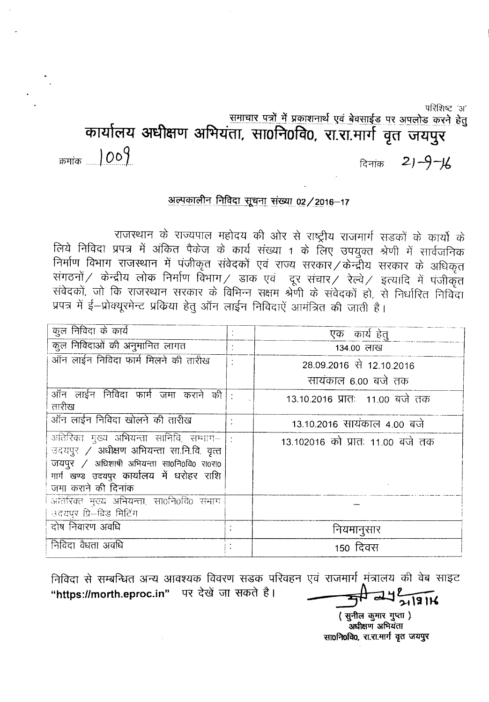परिशिष्ट 'अ'

समाचार पत्रों में प्रकाशनार्थ एवं बेवसाईड पर अपलोड करने हेतु

कार्यालय अधीक्षण अभियंता, सा0नि0वि0, रा.रा.मार्ग वृत जयपुर

 $21 - 9 - 16$ दिनांक

क्रमांक 1009

## अल्पकालीन निविदा सूचना संख्या 02/2016-17

राजस्थान के राज्यपाल महोदय की ओर से राष्ट्रीय राजमार्ग सड़कों के कार्यो के लिये निविदा प्रपत्र में अंकित पैकेज के कार्य संख्या 1 के लिए उपयुक्त श्रेणी में सार्वजनिक निर्माण विभाग राजस्थान में पंजीकृत संवेदकों एवं राज्य सरकार / केन्द्रीय सरकार के अधिकृत संगठनों / केन्द्रीय लोक निर्माण विभाग / डाक एवं दूर संचार / रेल्वे / इत्यादि में पंजीकृत संवेदकों, जो कि राजस्थान सरकार के विभिन्न सक्षम श्रेणी के संवेदकों हो, से निर्धारित निर्विदा प्रपत्र में ई-प्रोक्यूरमेन्ट प्रकिया हेतु ऑन लाईन निविदाएें आमंत्रित की जाती है।

| कूल निविदा के कार्य                                                                                                                                                                                     | एक कार्य हेत्                    |
|---------------------------------------------------------------------------------------------------------------------------------------------------------------------------------------------------------|----------------------------------|
| कूल निविदाओं की अनुमानित लागत                                                                                                                                                                           | 134.00 लाख                       |
| ऑन लाईन निविदा फार्म मिलने की तारीख                                                                                                                                                                     | 28.09.2016 से 12.10.2016         |
|                                                                                                                                                                                                         | सायंकाल 6.00 बजे तक              |
| ऑन लाईन निविदा फार्म जमा कराने की<br>तारीख                                                                                                                                                              | 13.10.2016 प्रातः 11.00 बजे तक   |
| ऑन लाईन निविदा खोलने की तारीख                                                                                                                                                                           | 13.10.2016 सायंकाल 4.00 बजे      |
| अतिरिक्त मुख्य अभियन्ता सानिवि, सम्भाग– :<br>उदयपुर / अधीक्षण अभियन्ता सा.नि.वि. वृत्त<br>जयपुर / अधिशाषी अभियन्ता सा0नि0वि0 रा0रा0<br>मार्ग खण्ड उदयपुर कार्यालय में धरोहर राशि<br>जमा कराने की दिनांक | 13.102016 को प्रातः 11.00 बजे तक |
| अतिरिक्त मुख्य अभियन्ता, सा0नि0वि0 संभाग<br>उदयपुर प्रि-बिड मिटिंग                                                                                                                                      |                                  |
| दोष निवारण अवधि                                                                                                                                                                                         | नियमानुसार                       |
| निविदा वैधता अवधि                                                                                                                                                                                       | 150 दिवस                         |

निविदा से सम्बन्धित अन्य आवश्यक विवरण सडक परिवहन एवं राजमार्ग मंत्रालय की वेब साइट "https://morth.eproc.in" पर देखें जा सकते है।  $742 - 18116$ 

> (सुनील कुमार गुप्ता) अधीक्षण अभियंता सा0नि0वि0, रा.रा.मार्ग वृत जयपुर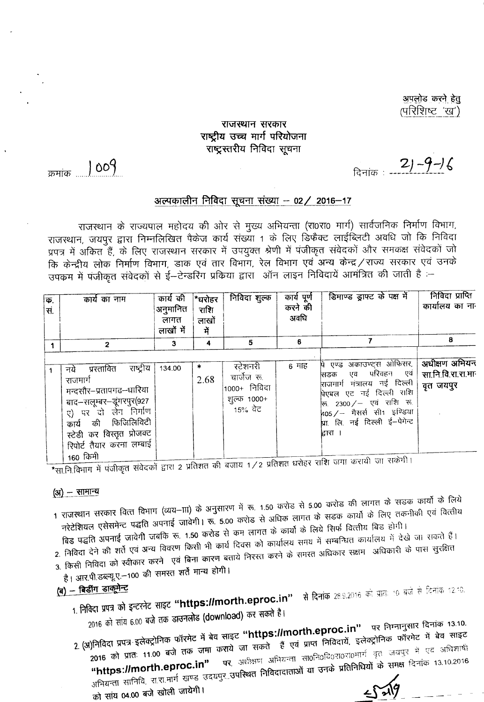<u>अपलोड करने हेतु</u> (परिशिष्ट 'ख')

### राजस्थान सरकार राष्ट्रीय उच्च मार्ग परियोजना राष्ट्रस्तरीय निविदा सूचना

दिनांक 21-9-16

क्रमांक 1009

#### अल्पकालीन निविदा सूचना संख्या – 02/ 2016–17

राजस्थान के राज्यपाल महोदय की ओर से मुख्य अभियन्ता (रा0रा0 मार्ग) सार्वजनिक निर्माण विभाग, राजस्थान, जयपुर द्वारा निम्नलिखित पैकेज कार्य संख्या 1 के लिए डिफैक्ट लाईब्लिटी अवधि जो कि निविदा प्रपत्र में अकित हैं, के लिए राजस्थान सरकार में उपयुक्त श्रेणी में पंजीकृत संवेदकों और समकक्ष संवेदकों जो कि केन्द्रीय लोक निर्माण विभाग, डाक एवं तार विभाग, रेल विभाग एवं अन्य केन्द्र / राज्य सरकार एवं उनके उपकम में पंजीकृत संवेदकों से ई—टेन्डरिंग प्रकिया द्वारा) ऑन लाइन निविदायें आमंत्रित की जाती है :—

| क.<br>, स | कार्य का नाम                                                                                                                                                                                                            | कार्य की<br>अनुमानित<br>लागत<br>लाखों में | ∣*घरोहर<br>राशि<br>लाखों<br>में | निविदा शुल्क                                                     | कार्य पूर्ण<br>करने की<br>अवधि | डिमाण्ड ड्राफ्ट के पक्ष में                                                                                                                                                                                       | निविदा प्राप्ति<br>कार्यालय का ना               |
|-----------|-------------------------------------------------------------------------------------------------------------------------------------------------------------------------------------------------------------------------|-------------------------------------------|---------------------------------|------------------------------------------------------------------|--------------------------------|-------------------------------------------------------------------------------------------------------------------------------------------------------------------------------------------------------------------|-------------------------------------------------|
|           | $\overline{2}$                                                                                                                                                                                                          | 3                                         | 4                               | 5                                                                | 6                              |                                                                                                                                                                                                                   | 8                                               |
|           | राष्ट्रीय<br>प्रस्तावित<br>नये<br>राजमार्ग<br>मन्दसौर–प्रतापगढ–धारिया<br>बाद–सलूम्बर–डूंगरपुर(927<br>ए) पर दो लेन निर्माण<br>कार्य की फिजिलिविटी<br>स्टेडी कर विस्तृत प्रोजक्ट<br>रिपोर्ट तैयार करना लम्बाई<br>160 किमी | 134.00                                    | *<br>2.68                       | रटेशनरी<br>चार्जेज रू.<br>1000+ निविदा<br>शुल्क 1000+<br>15% वेट | 6 माह                          | पे एण्ड अकाउण्ट्स ओफिसर,<br>्एव परिवहन एवं <br>सिडक<br>राजगार्ग मंत्रालय नई दिल्ली<br>पिएबल एट नई दिल्ली राशि<br>रू 2300/- एवं राशि रू.<br>405 / – मैसर्स सी1 इण्डिया<br>थ्रा लि. नई दिल्ली ई-पेगेन्ट<br>द्वारा । | अधीक्षण अभियन<br>सा.नि.वि.रा.रा.मा<br>वृत जयपुर |

\*सा.नि.विभाग में पंजीकृत संवेदकों द्वारा 2 प्रतिशत की बजाय 1/2 प्रतिशत धरोहर राशि जगा करायी जा सकेगी।

 $\left( 3j\right) -$  सामान्य

- 1 राजस्थान सरकार वित्त विभाग (व्यय–ााा) के अनुसारण में रू. 1.50 करोड से 5.00 करोड की लागत के सडक कार्यो के लिये नरेटेशियल एसेसमेन्ट पद्धति अपनाई जावेगी। रू. 5.00 करोड से अधिक लागत के सडक कार्यों के लिए तकनीकी एवं वित्तीय
- बिड पद्धति अपनाई जावेगी जबकि रू. 1.50 करोड से कम लागत के कार्यों के लिये सिर्फ वित्तीय बिड होगी। 2. निविदा देने की शर्ते एवं अन्य विवरण किसी भी कार्य दिवस को कार्यालय समय में सम्बन्धित कार्यालय में देखे जा सकते हैं। 3. किसी निविदा को स्वीकार करने एवं बिना कारण बताये निरस्त करने के समस्त अधिकार सक्षम अधिकारी के पास सुरक्षित
- 
- है। आर.पी.डब्ल्यू.ए.–100 की समस्त शर्ते मान्य होगी।

# (ब) - बिडींग डाकूमेन्ट

1. निविदा प्रपत्र को इन्टरनेट साइट "https://morth.eproc.in" से दिनांक 28.9.2016 को प्रातः 10 बजे से दिनांक 12.10.

2016 को सांय 6.00 बजे तक डाउनलोड (download) कर सकते है।

2. (अ)निविदा प्रपत्र इलेक्ट्रोनिक फॉरमेट में बेव साइट "https://morth.eproc.in" पर निम्नानुसार दिनांक 13.10. ,<br>2016 को प्रातः 11.00 बजे तक जमा कराये जा सकते हैं एवं प्राप्त निविदायें, इलेक्ट्रोनिक फॉरमेट में बेव साइट पर, अधीक्षण अभियन्ता सा0नि0वि0रा0रा0मार्ग वृत् जयपुर में एव अधिशार्षी अभियन्ता सानिवि, रा.रा.मार्ग खण्ड उदयपुर..उ<mark>पस्थित निविदादाताओं या उनके प्रतिनिधियों के समक्ष</mark> दिनांक 13.10.2016  $5 - \sqrt{9}$ को सांय 04.00 बजे खोली जायेगी।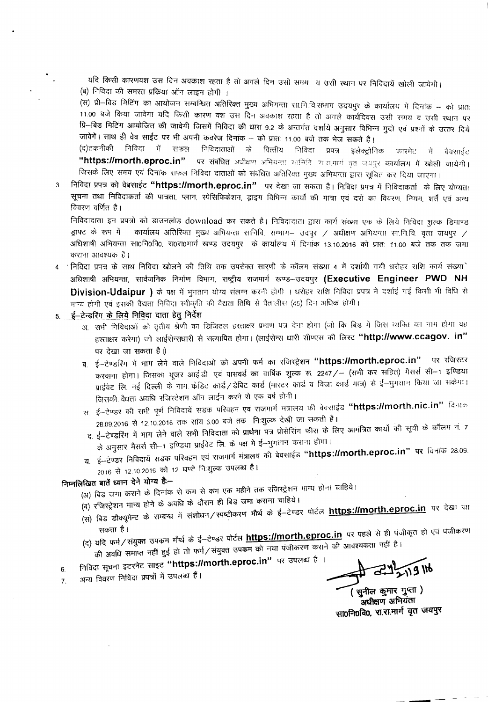यदि किसी कारणवश उस दिन अवकाश रहता है तो अगले दिन उसी समय व उसी स्थान पर निविदायें खोली जायेगी। (ब) निविदा की समस्त प्रकिया ऑन लाइन होगी ।

.<br>(स) प्री–विड मिटिंग का आयोजन सम्बन्धित अतिरिक्त मुख्य अभियन्ता सा.नि.वि.संभाग उदयपुर के कार्यालय में दिनांक – को प्रातः 11.00 बजे किया जावेगा यदि किसी कारण वश उस दिन अवकाश रहता है तो अगले कार्यदिवस उसी समय व उसी स्थान पर प्रि—बिड मिटिंग आयोजित की जावेगी जिसमें निविदा की धारा 9.2 के अन्तर्गत दर्शाये अनुसार विभिन्न मुदो एवं प्रश्नों के उत्तर दिये जावेगें। साथ ही वेव साईट पर भी अपनी कवरेज दिनांक – को प्रातः 11.00 बजे तक भेज सकते है।

निविदा में सफल (द)तकनीकी निविदाताओं के वित्तीय निविदा प्रपत्र इलेक्ट्रोनिक फारमेट में बेवसाईट "https://morth.eproc.in" पर संबंधित अधीक्षण अभियन्ता सानिति रा.स.मार्ग युत जयपुर कार्यालय में खोली जायेगी। जिसके लिए समय एवं दिनांक सफल निविदा दाताओं को संबंधित अतिरिक्त मुख्य अभियन्ता द्वारा सूचित कर दिया जाएगा।

निविदा प्रपत्र को वेबसाईट "https://morth.eproc.in" पर देखा जा सकता है। निविदा प्रपत्र में निविदाकर्ता के लिए योग्यता  $\overline{3}$ सूचना तथा निविदाकर्ता की पात्रता, प्लान, स्पेसिफिकेशन, ड्राइंग विभिन्न कार्यों की मात्रा एवं दरों का विवरण, नियम, शर्तें एवं अन्य विवरण वर्णित है।

निविदादाता इन प्रपत्रों को डाउनलोड download कर सकते हैं। निविदादाता द्वारा कार्य संख्या एक के लिये निविदा शुल्क डिमाण्ड डाफ्ट के रूप में कार्यालय अतिरिक्त मुख्य अभियन्ता सानिवि, सम्भाग- उदपुर / अधीक्षण अभियन्ता सा.नि.वि. वृत्ता जयपुर / अधिशाषी अभियन्ता सा0नि0वि0, रा0रा0मार्ग खण्ड उदयपुर के कार्यालय में दिनांक 13.10.2016 को प्रातः 11.00 बजे तक तक जमा कराना आवश्यक है।

- 4 ' निविदा प्रपत्र के साथ निविदा खोलने की तिथि तक उपरोक्त सारणी के कॉलम संख्या 4 में दर्शायी गयी धरोहर राशि कार्य संख्या अधिशाषी अभियन्ता, सार्वजनिक निर्माण विभाग, राष्ट्रीय राजमार्ग खण्ड--उदयपुर (Executive Engineer PWD NH Division-Udaipur ) के पक्ष में भुगतान योग्य संलग्न करनी होगी । धरोहर राशि निविदा प्रपत्र में दर्शाई गई किसी भी विधि से मान्य होगी एवं इसकी वैद्यता निविदा स्वीकृति की वैद्यता तिथि से पैतालीस (45) दिन अधिक होगी।
- 5. ई-टेन्डरिंग के लिये निविदा दाता हेतु निर्देश
	- अ. सभी निविदाओं को तृतीय श्रेणी का डिजिटल हस्ताक्षर प्रभाण पत्र देना होगा (जो कि बिड में जिस व्यक्ति का नाम होगा वह हस्ताक्षर करेगा) जो लाईसेन्सधारी से सत्यापित होगा। (लाईसेन्स धारी सीण्एस की लिस्ट "http://www.ccagov. in" पर देखा जा सकता है।)
	- ब ई-टेण्डरिंग में भाग लेने वाले निविदाओं को अपनी फर्म का रजिस्ट्रेशन "https://morth.eproc.in" पर रजिस्टर करवाना होगा। जिसका थूजर आई.डी. एवं पासवर्ड का वार्षिक शुल्क रू. 2247/– (सभी कर सहित) मैसर्स सी–1 इण्डिया प्राईवेट लि. नई दिल्ली के नाम केडिट कार्ड/डेबिट कार्ड (भारटर कार्ड व विजा कार्ड मात्र) से ई-न्मुगतान किया जा सकेमा। जिसकी वैधता अवधि रजिस्टेशन ऑन लाईन करने से एक वर्ष होगी।
	- स. ई–टेण्डर की सभी पूर्ण निविदायें सडक परिवहन एवं राजमार्ग मंत्रालय की बेवसाईड **"https://morth.nic.in"** दिनाक 28.09.2016 से 12.10.2016 तक सांय 6.00 बजे तक निःशुल्क देखी जा सकती है।
	- द, ई–टेण्डरिंग में भाग लेने वाले सभी निविदाता को प्रार्थना पत्र प्रोसेरिंग फीस के लिए आमंत्रित कार्यो की सूची के कॉलम नं. 7 के अनुसार मैसर्स सी–1 इण्डिया प्राईवेट लि. के पक्ष मे ई–भुगतान कराना होगा।
	- य. ई–टेण्डर निविदायें सडक परिवहन एवं राजमार्ग मंत्रालय की बेवसाईड "https://morth.eproc.in" पर दिनांक 28.09. 2016 से 12.10.2016 को 12 घण्टे निःशुल्क उपलब्ध है।

## निम्नलिखित बातें ध्यान देने योग्य हैं:--

(अ) बिड जमा कराने के दिनांक से कम से कम एक महीने तक रजिस्ट्रेशन मान्य होना चाहिये।

- (ब) रजिस्ट्रेशन मान्य होने के अवधि के दौरान ही बिड जमा कराना चाहिये।
- (स) बिड डौक्यूमेन्ट के सम्बन्ध में संशोधन / स्पष्टीकरण मौर्थ के ई-टेण्डर पोर्टल https://morth.eproc.in पर देखा जा सकता है।
- (द) यदि फर्म/संयुक्त उपकग गौर्थ के ई–टेण्डर पोर्टल https://morth.eproc.in पर पहले से ही पंजीकृत हो एवं पंजीकरण की अवधि समाप्त नहीं हुई हो तो फर्म/संयुक्त उपकम को नया पंजीकरण कराने की आवश्यकता नहीं है।
- निविदा सूचना इटरनेट साइट "https://morth.eproc.in" पर उपलब्ध है ।
- 6. अन्य विवरण निविदा प्रपत्रों में उपलब्ध हैं।  $\overline{7}$ .

सुनील कुमार गुप्ता) अधीक्षण अभियंता सा0नि0वि0, रा.रा.मार्ग वृत जयपुर